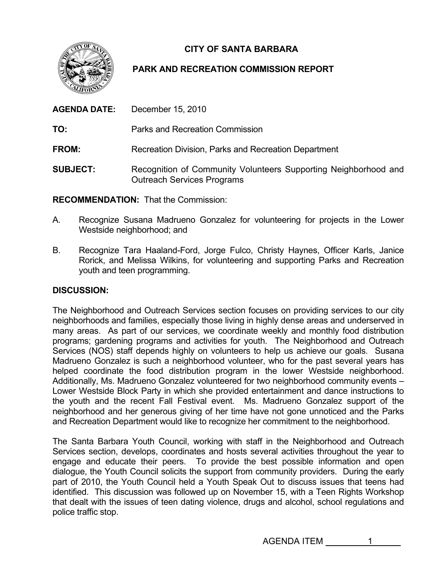**CITY OF SANTA BARBARA** 



## **PARK AND RECREATION COMMISSION REPORT**

| <b>AGENDA DATE:</b> | December 15, 2010                                                                                    |
|---------------------|------------------------------------------------------------------------------------------------------|
| TO:                 | Parks and Recreation Commission                                                                      |
| <b>FROM:</b>        | Recreation Division, Parks and Recreation Department                                                 |
| <b>SUBJECT:</b>     | Recognition of Community Volunteers Supporting Neighborhood and<br><b>Outreach Services Programs</b> |

**ECOMMENDATION:** That the Commission: **R**

- A. Recognize Susana Madrueno Gonzalez for volunteering for projects in the Lower Westside neighborhood; and
- B. Rorick, and Melissa Wilkins, for volunteering and supporting Parks and Recreation youth and teen programming. Recognize Tara Haaland-Ford, Jorge Fulco, Christy Haynes, Officer Karls, Janice

## **ISCUSSION: D**

neighborhood and her generous giving of her time have not gone unnoticed and the Parks and Recreation Department would like to recognize her commitment to the neighborhood. The Neighborhood and Outreach Services section focuses on providing services to our city neighborhoods and families, especially those living in highly dense areas and underserved in many areas. As part of our services, we coordinate weekly and monthly food distribution programs; gardening programs and activities for youth. The Neighborhood and Outreach Services (NOS) staff depends highly on volunteers to help us achieve our goals. Susana Madrueno Gonzalez is such a neighborhood volunteer, who for the past several years has helped coordinate the food distribution program in the lower Westside neighborhood. Additionally, Ms. Madrueno Gonzalez volunteered for two neighborhood community events – Lower Westside Block Party in which she provided entertainment and dance instructions to the youth and the recent Fall Festival event. Ms. Madrueno Gonzalez support of the

that dealt with the issues of teen dating violence, drugs and alcohol, school regulations and police traffic stop. The Santa Barbara Youth Council, working with staff in the Neighborhood and Outreach Services section, develops, coordinates and hosts several activities throughout the year to engage and educate their peers. To provide the best possible information and open dialogue, the Youth Council solicits the support from community providers. During the early part of 2010, the Youth Council held a Youth Speak Out to discuss issues that teens had identified. This discussion was followed up on November 15, with a Teen Rights Workshop

AGENDA ITEM 1